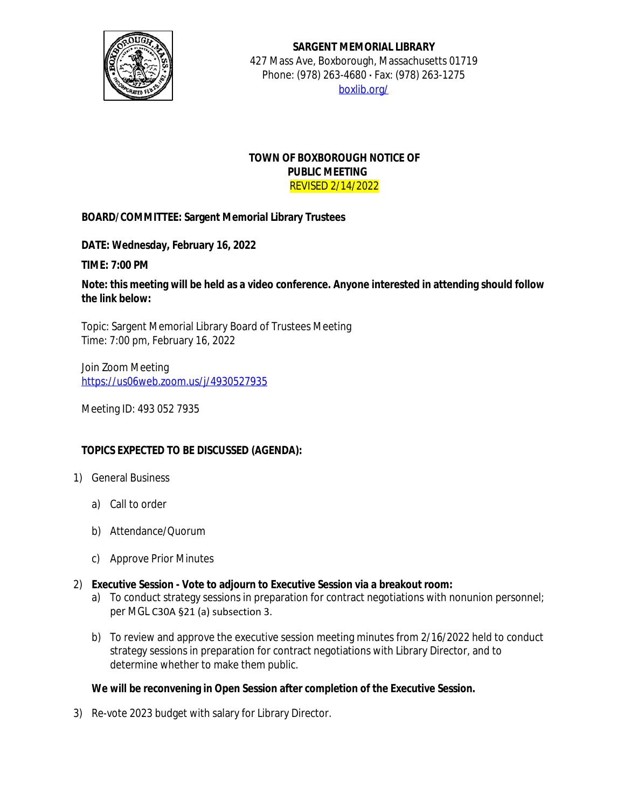

**SARGENT MEMORIAL LIBRARY** 427 Mass Ave, Boxborough, Massachusetts 01719 Phone: (978) 263-4680 **·** Fax: (978) 263-1275 [boxlib.org/](https://boxlib.org/)

## **TOWN OF BOXBOROUGH NOTICE OF PUBLIC MEETING** REVISED 2/14/2022

## **BOARD/COMMITTEE: Sargent Memorial Library Trustees**

**DATE: Wednesday, February 16, 2022**

**TIME: 7:00 PM**

**Note: this meeting will be held as a video conference. Anyone interested in attending should follow the link below:**

Topic: Sargent Memorial Library Board of Trustees Meeting Time: 7:00 pm, February 16, 2022

Join Zoom Meeting [https://us06web.zoom.us/j/4930527935](https://boxborough.vod.castus.tv/vod/?video=424d819e-0917-439e-b3ef-a260860d0a74&nav=programs%2FBBC%20Meeting)

Meeting ID: 493 052 7935

## **TOPICS EXPECTED TO BE DISCUSSED (AGENDA):**

- 1) General Business
	- a) Call to order
	- b) Attendance/Quorum
	- c) Approve Prior Minutes
- 2) **Executive Session Vote to adjourn to Executive Session via a breakout room:**
	- a) To conduct strategy sessions in preparation for contract negotiations with nonunion personnel; per MGL C30A §21 (a) subsection 3.
	- b) To review and approve the executive session meeting minutes from 2/16/2022 held to conduct strategy sessions in preparation for contract negotiations with Library Director, and to determine whether to make them public.

## **We will be reconvening in Open Session after completion of the Executive Session.**

3) Re-vote 2023 budget with salary for Library Director.